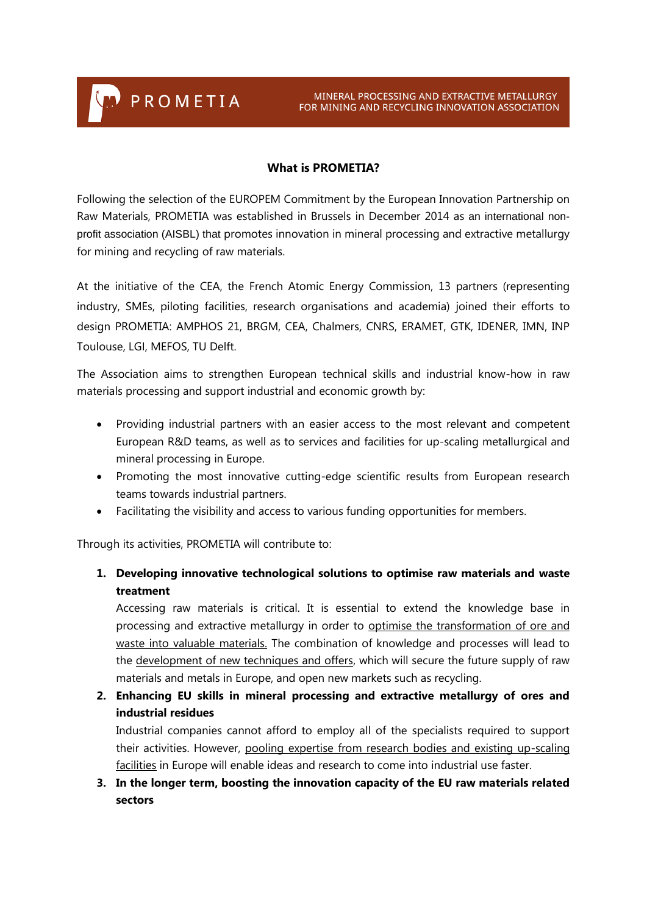PROMETIA

## **What is PROMETIA?**

Following the selection of the EUROPEM Commitment by the European Innovation Partnership on Raw Materials, PROMETIA was established in Brussels in December 2014 as an international nonprofit association (AISBL) that promotes innovation in mineral processing and extractive metallurgy for mining and recycling of raw materials.

At the initiative of the CEA, the French Atomic Energy Commission, 13 partners (representing industry, SMEs, piloting facilities, research organisations and academia) joined their efforts to design PROMETIA: AMPHOS 21, BRGM, CEA, Chalmers, CNRS, ERAMET, GTK, IDENER, IMN, INP Toulouse, LGI, MEFOS, TU Delft.

The Association aims to strengthen European technical skills and industrial know-how in raw materials processing and support industrial and economic growth by:

- Providing industrial partners with an easier access to the most relevant and competent European R&D teams, as well as to services and facilities for up-scaling metallurgical and mineral processing in Europe.
- Promoting the most innovative cutting-edge scientific results from European research teams towards industrial partners.
- Facilitating the visibility and access to various funding opportunities for members.

Through its activities, PROMETIA will contribute to:

## **1. Developing innovative technological solutions to optimise raw materials and waste treatment**

Accessing raw materials is critical. It is essential to extend the knowledge base in processing and extractive metallurgy in order to optimise the transformation of ore and waste into valuable materials. The combination of knowledge and processes will lead to the development of new techniques and offers, which will secure the future supply of raw materials and metals in Europe, and open new markets such as recycling.

**2. Enhancing EU skills in mineral processing and extractive metallurgy of ores and industrial residues**

Industrial companies cannot afford to employ all of the specialists required to support their activities. However, pooling expertise from research bodies and existing up-scaling facilities in Europe will enable ideas and research to come into industrial use faster.

**3. In the longer term, boosting the innovation capacity of the EU raw materials related sectors**